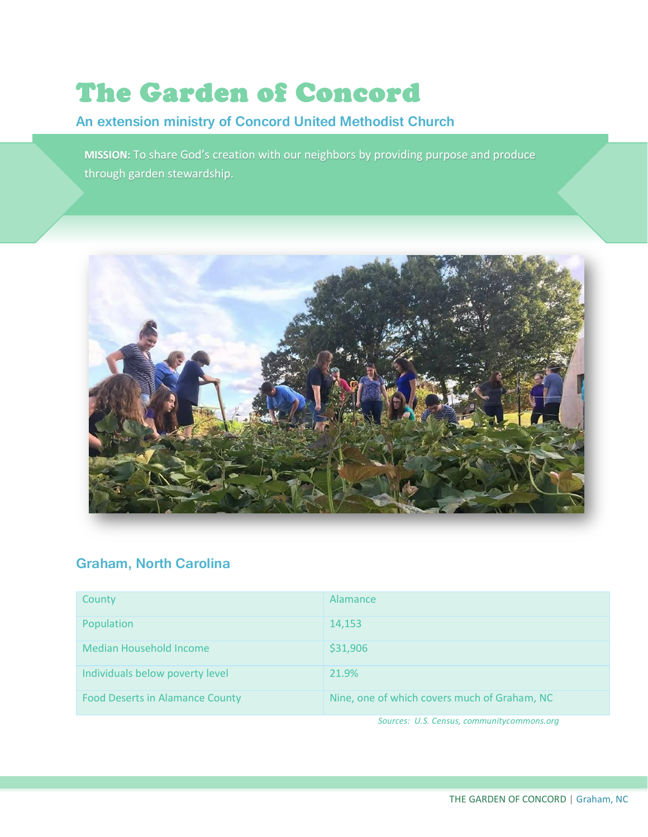# The Garden of Concord

# **An extension ministry of Concord United Methodist Church**

**MISSION:** To share God's creation with our neighbors by providing purpose and produce through garden stewardship.



# **Graham, North Carolina**

| County                                 | Alamance                                     |
|----------------------------------------|----------------------------------------------|
| Population                             | 14,153                                       |
| <b>Median Household Income</b>         | \$31,906                                     |
| Individuals below poverty level        | 21.9%                                        |
| <b>Food Deserts in Alamance County</b> | Nine, one of which covers much of Graham, NC |

 *Sources: U.S. Census, communitycommons.org*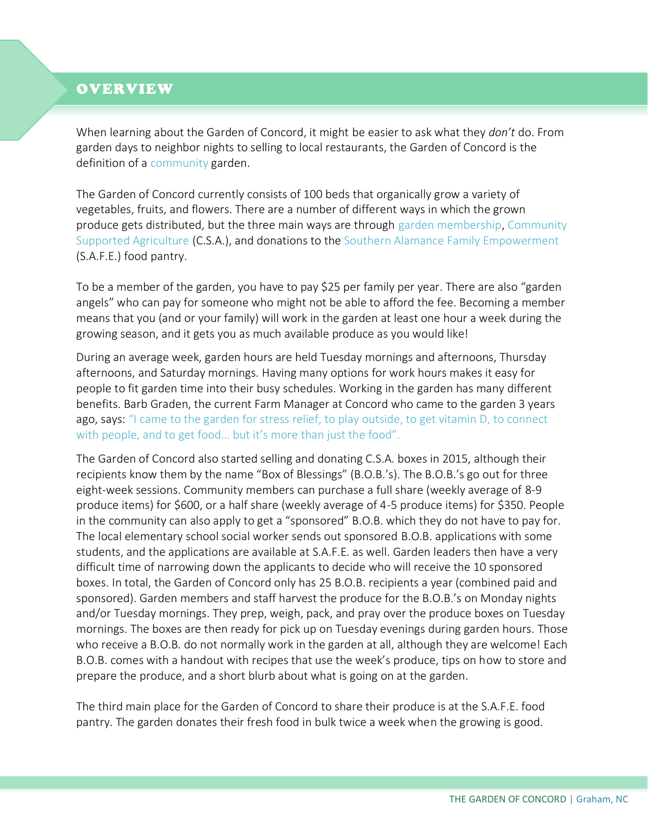### OVERVIEW

When learning about the Garden of Concord, it might be easier to ask what they *don't* do. From garden days to neighbor nights to selling to local restaurants, the Garden of Concord is the definition of a community garden.

The Garden of Concord currently consists of 100 beds that organically grow a variety of vegetables, fruits, and flowers. There are a number of different ways in which the grown produce gets distributed, but the three main ways are through garden membership, Community Supported Agriculture (C.S.A.), and donations to the Southern Alamance Family Empowerment (S.A.F.E.) food pantry.

To be a member of the garden, you have to pay \$25 per family per year. There are also "garden angels" who can pay for someone who might not be able to afford the fee. Becoming a member means that you (and or your family) will work in the garden at least one hour a week during the growing season, and it gets you as much available produce as you would like!

During an average week, garden hours are held Tuesday mornings and afternoons, Thursday afternoons, and Saturday mornings. Having many options for work hours makes it easy for people to fit garden time into their busy schedules. Working in the garden has many different benefits. Barb Graden, the current Farm Manager at Concord who came to the garden 3 years ago, says: "I came to the garden for stress relief, to play outside, to get vitamin D, to connect with people, and to get food… but it's more than just the food".

The Garden of Concord also started selling and donating C.S.A. boxes in 2015, although their recipients know them by the name "Box of Blessings" (B.O.B.'s). The B.O.B.'s go out for three eight-week sessions. Community members can purchase a full share (weekly average of 8-9 produce items) for \$600, or a half share (weekly average of 4-5 produce items) for \$350. People in the community can also apply to get a "sponsored" B.O.B. which they do not have to pay for. The local elementary school social worker sends out sponsored B.O.B. applications with some students, and the applications are available at S.A.F.E. as well. Garden leaders then have a very difficult time of narrowing down the applicants to decide who will receive the 10 sponsored boxes. In total, the Garden of Concord only has 25 B.O.B. recipients a year (combined paid and sponsored). Garden members and staff harvest the produce for the B.O.B.'s on Monday nights and/or Tuesday mornings. They prep, weigh, pack, and pray over the produce boxes on Tuesday mornings. The boxes are then ready for pick up on Tuesday evenings during garden hours. Those who receive a B.O.B. do not normally work in the garden at all, although they are welcome! Each B.O.B. comes with a handout with recipes that use the week's produce, tips on how to store and prepare the produce, and a short blurb about what is going on at the garden.

The third main place for the Garden of Concord to share their produce is at the S.A.F.E. food pantry. The garden donates their fresh food in bulk twice a week when the growing is good.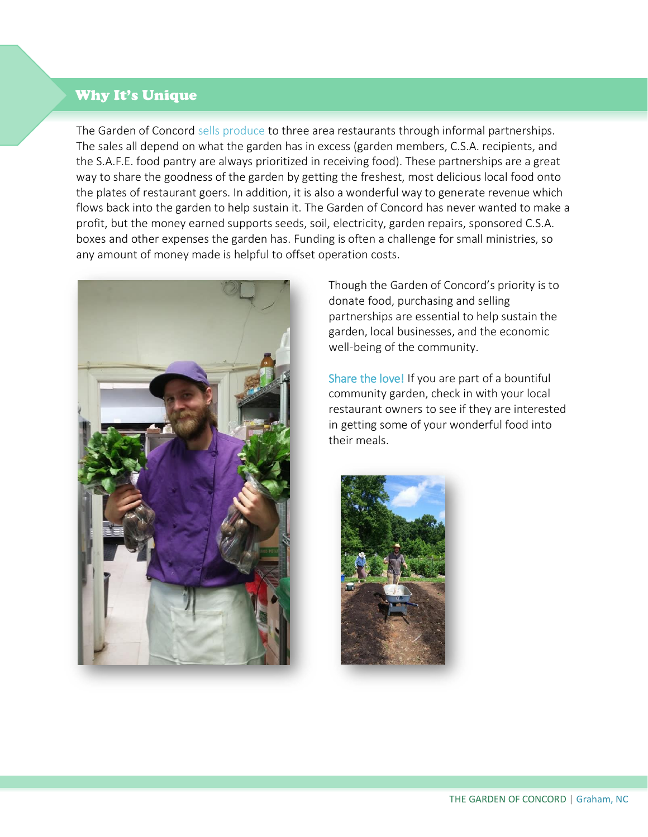#### Why It's Unique

The Garden of Concord sells produce to three area restaurants through informal partnerships. The sales all depend on what the garden has in excess (garden members, C.S.A. recipients, and the S.A.F.E. food pantry are always prioritized in receiving food). These partnerships are a great way to share the goodness of the garden by getting the freshest, most delicious local food onto the plates of restaurant goers. In addition, it is also a wonderful way to generate revenue which flows back into the garden to help sustain it. The Garden of Concord has never wanted to make a profit, but the money earned supports seeds, soil, electricity, garden repairs, sponsored C.S.A. boxes and other expenses the garden has. Funding is often a challenge for small ministries, so any amount of money made is helpful to offset operation costs.



Though the Garden of Concord's priority is to donate food, purchasing and selling partnerships are essential to help sustain the garden, local businesses, and the economic well-being of the community.

Share the love! If you are part of a bountiful community garden, check in with your local restaurant owners to see if they are interested in getting some of your wonderful food into their meals.

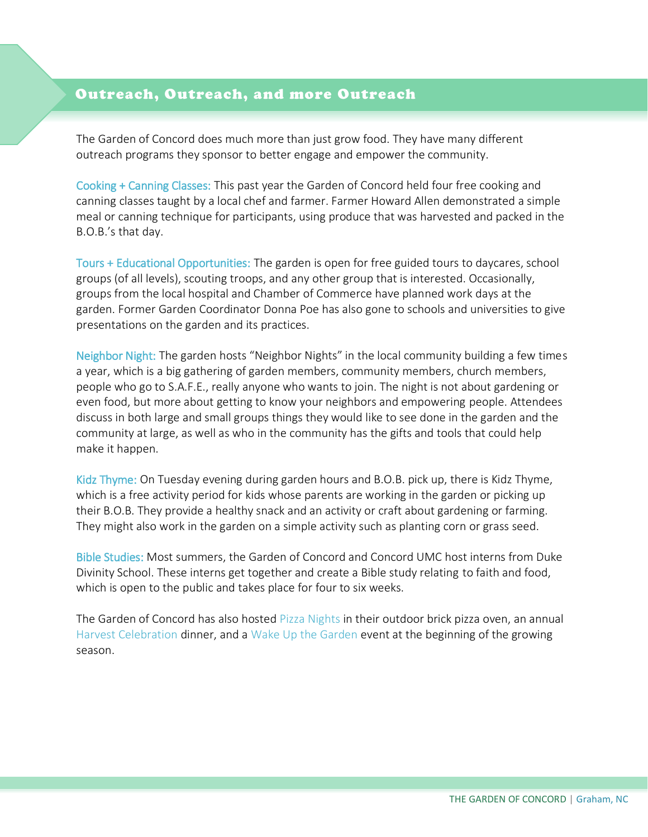#### j l Outreach, Outreach, and more Outreach

The Garden of Concord does much more than just grow food. They have many different outreach programs they sponsor to better engage and empower the community.

Cooking + Canning Classes: This past year the Garden of Concord held four free cooking and canning classes taught by a local chef and farmer. Farmer Howard Allen demonstrated a simple meal or canning technique for participants, using produce that was harvested and packed in the B.O.B.'s that day.

Tours + Educational Opportunities: The garden is open for free guided tours to daycares, school groups (of all levels), scouting troops, and any other group that is interested. Occasionally, groups from the local hospital and Chamber of Commerce have planned work days at the garden. Former Garden Coordinator Donna Poe has also gone to schools and universities to give presentations on the garden and its practices.

Neighbor Night: The garden hosts "Neighbor Nights" in the local community building a few times a year, which is a big gathering of garden members, community members, church members, people who go to S.A.F.E., really anyone who wants to join. The night is not about gardening or even food, but more about getting to know your neighbors and empowering people. Attendees discuss in both large and small groups things they would like to see done in the garden and the community at large, as well as who in the community has the gifts and tools that could help make it happen.

Kidz Thyme: On Tuesday evening during garden hours and B.O.B. pick up, there is Kidz Thyme, which is a free activity period for kids whose parents are working in the garden or picking up their B.O.B. They provide a healthy snack and an activity or craft about gardening or farming. They might also work in the garden on a simple activity such as planting corn or grass seed.

Bible Studies: Most summers, the Garden of Concord and Concord UMC host interns from Duke Divinity School. These interns get together and create a Bible study relating to faith and food, which is open to the public and takes place for four to six weeks.

The Garden of Concord has also hosted Pizza Nights in their outdoor brick pizza oven, an annual Harvest Celebration dinner, and a Wake Up the Garden event at the beginning of the growing season.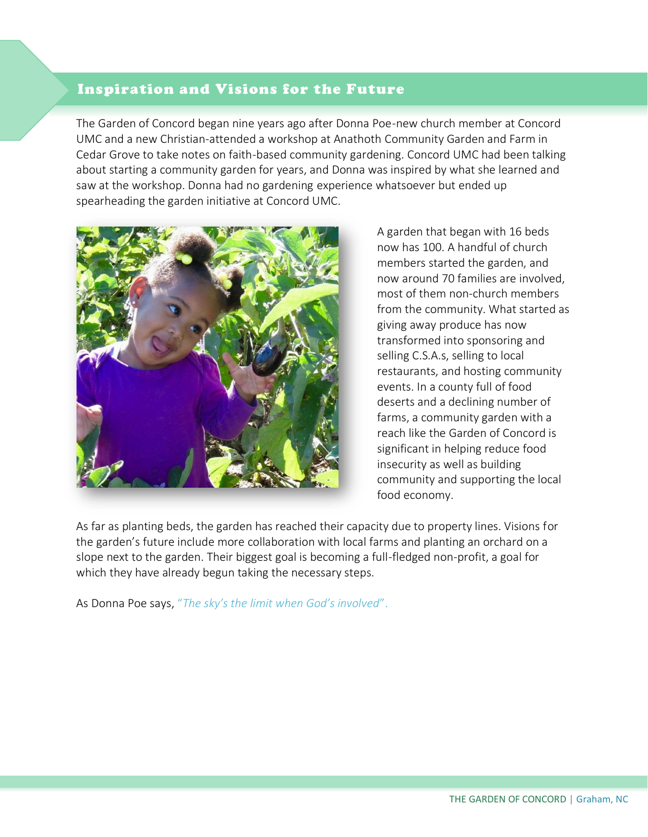# Inspiration and Visions for the Future

l

The Garden of Concord began nine years ago after Donna Poe-new church member at Concord UMC and a new Christian-attended a workshop at Anathoth Community Garden and Farm in Cedar Grove to take notes on faith-based community gardening. Concord UMC had been talking about starting a community garden for years, and Donna was inspired by what she learned and saw at the workshop. Donna had no gardening experience whatsoever but ended up spearheading the garden initiative at Concord UMC.



A garden that began with 16 beds now has 100. A handful of church members started the garden, and now around 70 families are involved, most of them non-church members from the community. What started as giving away produce has now transformed into sponsoring and selling C.S.A.s, selling to local restaurants, and hosting community events. In a county full of food deserts and a declining number of farms, a community garden with a reach like the Garden of Concord is significant in helping reduce food insecurity as well as building community and supporting the local food economy.

As far as planting beds, the garden has reached their capacity due to property lines. Visions for the garden's future include more collaboration with local farms and planting an orchard on a slope next to the garden. Their biggest goal is becoming a full-fledged non-profit, a goal for which they have already begun taking the necessary steps.

As Donna Poe says, "*The sky's the limit when God's involved*".